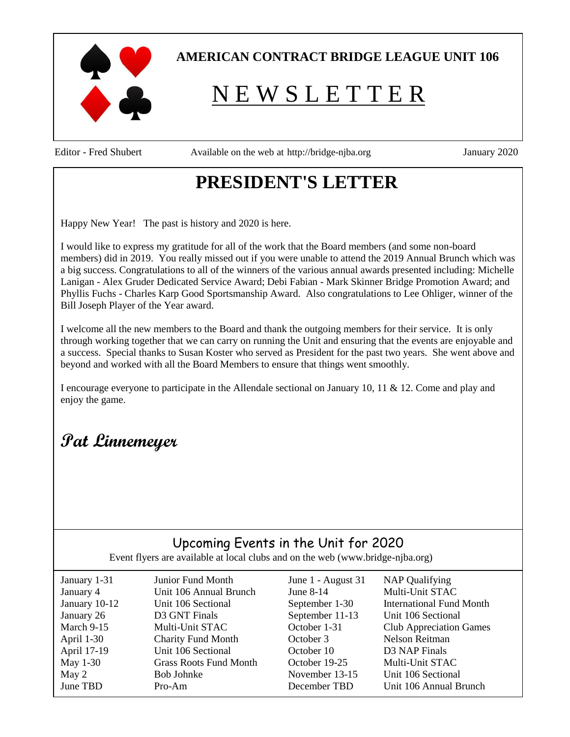

## **AMERICAN CONTRACT BRIDGE LEAGUE UNIT 106**

# N E W S L E T T E R

Editor - Fred Shubert Available on the web at [http://bridge-njba.org](http://bridge-njba.org/Home.aspx) January 2020

# **PRESIDENT'S LETTER**

Happy New Year! The past is history and 2020 is here.

I would like to express my gratitude for all of the work that the Board members (and some non-board members) did in 2019. You really missed out if you were unable to attend the 2019 Annual Brunch which was a big success. Congratulations to all of the winners of the various annual awards presented including: Michelle Lanigan - Alex Gruder Dedicated Service Award; Debi Fabian - Mark Skinner Bridge Promotion Award; and Phyllis Fuchs - Charles Karp Good Sportsmanship Award. Also congratulations to Lee Ohliger, winner of the Bill Joseph Player of the Year award.

I welcome all the new members to the Board and thank the outgoing members for their service. It is only through working together that we can carry on running the Unit and ensuring that the events are enjoyable and a success. Special thanks to Susan Koster who served as President for the past two years. She went above and beyond and worked with all the Board Members to ensure that things went smoothly.

I encourage everyone to participate in the Allendale sectional on January 10, 11 & 12. Come and play and enjoy the game.

# **Pat Linnemeyer**

## Upcoming Events in the Unit for 2020

Event flyers are available at local clubs and on the web (www.bridge-njba.org)

| January 1-31  | Junior Fund Month             | June 1 - August 31 | <b>NAP Qualifying</b>           |
|---------------|-------------------------------|--------------------|---------------------------------|
| January 4     | Unit 106 Annual Brunch        | June $8-14$        | Multi-Unit STAC                 |
| January 10-12 | Unit 106 Sectional            | September 1-30     | <b>International Fund Month</b> |
| January 26    | D3 GNT Finals                 | September 11-13    | Unit 106 Sectional              |
| March 9-15    | Multi-Unit STAC               | October 1-31       | <b>Club Appreciation Games</b>  |
| April 1-30    | <b>Charity Fund Month</b>     | October 3          | <b>Nelson Reitman</b>           |
| April 17-19   | Unit 106 Sectional            | October 10         | D3 NAP Finals                   |
| May 1-30      | <b>Grass Roots Fund Month</b> | October 19-25      | Multi-Unit STAC                 |
| May 2         | Bob Johnke                    | November 13-15     | Unit 106 Sectional              |
| June TBD      | $Pro-Am$                      | December TBD       | Unit 106 Annual Brunch          |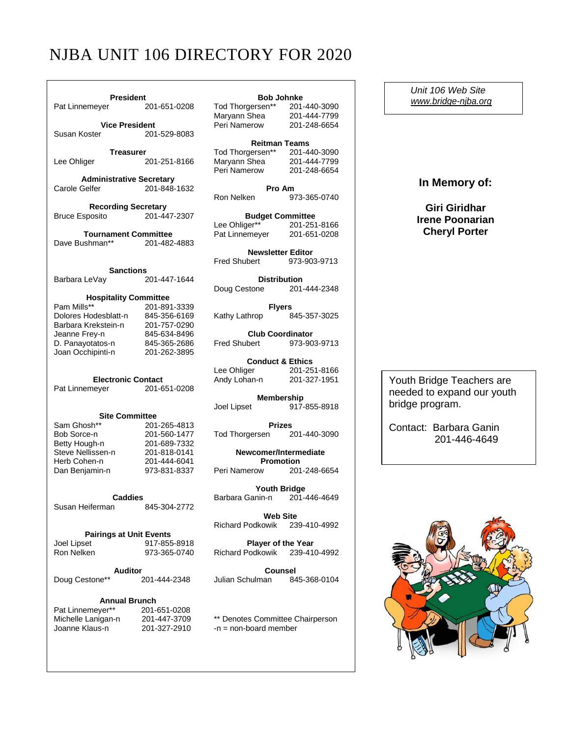## NJBA UNIT 106 DIRECTORY FOR 2020

| <b>President</b>                            |                              | <b>Bob Johnke</b>                                                                                       |              |  |
|---------------------------------------------|------------------------------|---------------------------------------------------------------------------------------------------------|--------------|--|
| Pat Linnemeyer 201-651-0208                 |                              | Tod Thorgersen** 201-440-3090<br>Marvann Shea 201-444-7799<br>Maryann Shea                              | 201-444-7799 |  |
| <b>Vice President</b>                       |                              | Peri Namerow                                                                                            | 201-248-6654 |  |
| Susan Koster                                | 201-529-8083                 |                                                                                                         |              |  |
|                                             |                              | <b>Reitman Teams</b>                                                                                    |              |  |
| Treasurer                                   |                              |                                                                                                         |              |  |
| Lee Ohliger                                 | 201-251-8166                 | Tod Thorgersen** 201-440-3090<br>Maryann Shea 201-444-7799<br>Peri Namerow 201-248-6654<br>Peri Namerow |              |  |
| <b>Administrative Secretary</b>             |                              |                                                                                                         | 201-248-6654 |  |
| Carole Gelfer                               | 201-848-1632                 | Pro Am                                                                                                  |              |  |
|                                             |                              | Ron Nelken                                                                                              | 973-365-0740 |  |
| <b>Recording Secretary</b>                  |                              |                                                                                                         |              |  |
| <b>Bruce Esposito</b>                       | 201-447-2307                 | <b>Budget Committee</b>                                                                                 |              |  |
|                                             |                              | Lee Ohliger** 201-251-8166                                                                              |              |  |
| <b>Tournament Committee</b>                 |                              | Pat Linnemeyer                                                                                          | 201-651-0208 |  |
| Dave Bushman**                              | 201-482-4883                 |                                                                                                         |              |  |
|                                             |                              | <b>Newsletter Editor</b>                                                                                |              |  |
|                                             |                              | <b>Fred Shubert</b>                                                                                     | 973-903-9713 |  |
| <b>Sanctions</b>                            |                              |                                                                                                         |              |  |
| Barbara LeVay                               | 201-447-1644                 | <b>Distribution</b>                                                                                     |              |  |
|                                             |                              | Doug Cestone 201-444-2348                                                                               |              |  |
| <b>Hospitality Committee</b><br>Pam Mills** | 201-891-3339                 |                                                                                                         |              |  |
| Dolores Hodesblatt-n                        | 845-356-6169                 | <b>Flyers</b><br>Kathy Lathrop                                                                          | 845-357-3025 |  |
| Barbara Krekstein-n                         | 201-757-0290                 |                                                                                                         |              |  |
| Jeanne Frey-n                               | 845-634-8496                 | <b>Club Coordinator</b>                                                                                 |              |  |
| D. Panayotatos-n                            | 845-365-2686                 | Fred Shubert 973-903-9713                                                                               |              |  |
| Joan Occhipinti-n                           | 201-262-3895                 |                                                                                                         |              |  |
|                                             |                              | <b>Conduct &amp; Ethics</b>                                                                             |              |  |
|                                             |                              | Lee Ohliger 201-251-8166                                                                                |              |  |
| <b>Electronic Contact</b>                   |                              | Andy Lohan-n 201-327-1951                                                                               |              |  |
| Pat Linnemeyer                              | 201-651-0208                 |                                                                                                         |              |  |
|                                             |                              | Membership                                                                                              |              |  |
|                                             |                              | Joel Lipset                                                                                             | 917-855-8918 |  |
| <b>Site Committee</b>                       |                              |                                                                                                         |              |  |
| Sam Ghosh**                                 | 201-265-4813                 | <b>Prizes</b>                                                                                           |              |  |
| Bob Sorce-n                                 | 201-560-1477                 | Tod Thorgersen 201-440-3090                                                                             |              |  |
| Betty Hough-n                               | 201-689-7332                 |                                                                                                         |              |  |
| Steve Nellissen-n                           | 201-818-0141                 | Newcomer/Intermediate<br><b>Promotion</b>                                                               |              |  |
| Herb Cohen-n                                | 201-444-6041<br>973-831-8337 | Peri Namerow                                                                                            | 201-248-6654 |  |
| Dan Benjamin-n                              |                              |                                                                                                         |              |  |
|                                             |                              | <b>Youth Bridge</b>                                                                                     |              |  |
| <b>Caddies</b>                              |                              | Barbara Ganin-n 201-446-4649                                                                            |              |  |
| Susan Heiferman                             | 845-304-2772                 |                                                                                                         |              |  |
|                                             |                              | <b>Web Site</b>                                                                                         |              |  |
|                                             |                              | <b>Richard Podkowik</b>                                                                                 | 239-410-4992 |  |
| <b>Pairings at Unit Events</b>              |                              |                                                                                                         |              |  |
| Joel Lipset                                 | 917-855-8918                 | <b>Player of the Year</b>                                                                               |              |  |
| Ron Nelken                                  | 973-365-0740                 | Richard Podkowik                                                                                        | 239-410-4992 |  |
|                                             |                              |                                                                                                         |              |  |
| <b>Auditor</b>                              |                              | Counsel                                                                                                 |              |  |
| Doug Cestone**                              | 201-444-2348                 | Julian Schulman                                                                                         | 845-368-0104 |  |
|                                             |                              |                                                                                                         |              |  |
| <b>Annual Brunch</b>                        |                              |                                                                                                         |              |  |

Pat Linnemeyer\*\* 201-651-0208<br>Michelle Lanigan-n 201-447-3709

### **Bob Johnke**

| Tod Thorgersen** | 201-440-3090 |
|------------------|--------------|
| Maryann Shea     | 201-444-7799 |
| Peri Namerow     | 201-248-6654 |
|                  |              |

| INGILIIIAII I GAIIIS |              |
|----------------------|--------------|
| Tod Thorgersen**     | 201-440-3090 |
| Maryann Shea         | 201-444-7799 |
| Peri Namerow         | 201-248-6654 |

Michelle Lanigan-n 201-447-3709 \*\* Denotes Committee Chairperson<br>Joanne Klaus-n 201-327-2910 -n = non-board member  $-n = non-board member$ 

 *Unit 106 Web Site [www.bridge-njba.org](http://www.bridge-njba.org/)*

**In Memory of:**

**Giri Giridhar Irene Poonarian Cheryl Porter**

Youth Bridge Teachers are needed to expand our youth bridge program.

Contact: Barbara Ganin 201-446-4649

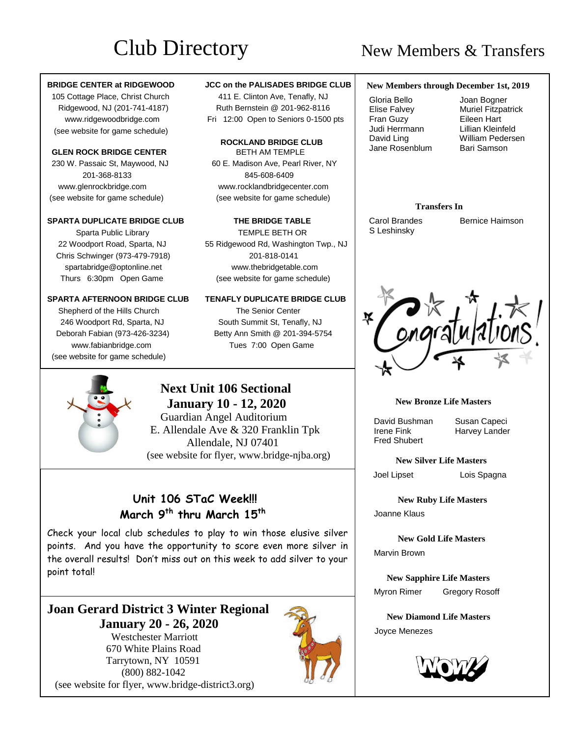# Club Directory New Members & Transfers

## **BRIDGE CENTER at RIDGEWOOD JCC on the PALISADES BRIDGE CLUB**

(see website for game schedule)

### **GLEN ROCK BRIDGE CENTER** BETH AM TEMPLE

201-368-8133 845-608-6409

### **SPARTA DUPLICATE BRIDGE CLUB THE BRIDGE TABLE**

 Sparta Public LibraryTEMPLE BETH OR Chris Schwinger (973-479-7918) 201-818-0141

Shepherd of the Hills Church The Senior Center (see website for game schedule)

 105 Cottage Place, Christ Church 411 E. Clinton Ave, Tenafly, NJ Ridgewood, NJ (201-741-4187) Ruth Bernstein @ 201-962-8116 www.ridgewoodbridge.com Fri 12:00 Open to Seniors 0-1500 pts

## **ROCKLAND BRIDGE CLUB** 230 W. Passaic St, Maywood, NJ60 E. Madison Ave, Pearl River, NY www.glenrockbridge.com www.rocklandbridgecenter.com (see website for game schedule) (see website for game schedule)

 22 Woodport Road, Sparta, NJ 55 Ridgewood Rd, Washington Twp., NJ spartabridge@optonline.net www.thebridgetable.com Thurs 6:30pm Open Game (see website for game schedule)

### **SPARTA AFTERNOON BRIDGE CLUB TENAFLY DUPLICATE BRIDGE CLUB**

246 Woodport Rd, Sparta, NJ South Summit St, Tenafly, NJ Deborah Fabian (973-426-3234) Betty Ann Smith @ 201-394-5754 www.fabianbridge.com Tues 7:00 Open Game

## **Next Unit 106 Sectional January 10 - 12, 2020**

Guardian Angel Auditorium E. Allendale Ave & 320 Franklin Tpk Allendale, NJ 07401 (see website for flyer, www.bridge-njba.org)

## **Unit 106 STaC Week!!! March 9 th thru March 15th**

Check your local club schedules to play to win those elusive silver points. And you have the opportunity to score even more silver in the overall results! Don't miss out on this week to add silver to your point total!

## **Joan Gerard District 3 Winter Regional January 20 - 26, 2020**

 Westchester Marriott 670 White Plains Road Tarrytown, NY 10591 (800) 882-1042 (see website for flyer, www.bridge-district3.org)



## **New Members through December 1st, 2019**

 Gloria Bello Elise Falvey Fran Guzy Judi Herrmann David Ling Jane Rosenblum

 Joan Bogner Muriel Fitzpatrick Eileen Hart Lillian Kleinfeld William Pedersen Bari Samson

## **Transfers In**

S Leshinsky

**Carol Brandes Bernice Haimson** 



## **New Bronze Life Masters**

David Bushman Susan Capeci<br>Irene Fink Harvey Lander Fred Shubert

Harvey Lander

**New Silver Life Masters**

Joel LipsetLois Spagna

 **New Ruby Life Masters**

Joanne Klaus

 **New Gold Life Masters** Marvin Brown

 **New Sapphire Life Masters** Myron Rimer Gregory Rosoff

 **New Diamond Life Masters** Joyce Menezes